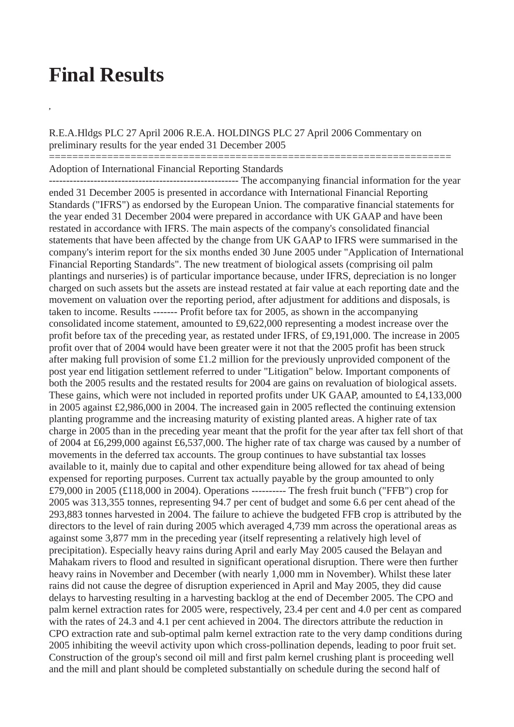## **Final Results**

**,**

R.E.A.Hldgs PLC 27 April 2006 R.E.A. HOLDINGS PLC 27 April 2006 Commentary on preliminary results for the year ended 31 December 2005

=====================================================================

Adoption of International Financial Reporting Standards

------------------------------------------------------- The accompanying financial information for the year ended 31 December 2005 is presented in accordance with International Financial Reporting Standards ("IFRS") as endorsed by the European Union. The comparative financial statements for the year ended 31 December 2004 were prepared in accordance with UK GAAP and have been restated in accordance with IFRS. The main aspects of the company's consolidated financial statements that have been affected by the change from UK GAAP to IFRS were summarised in the company's interim report for the six months ended 30 June 2005 under "Application of International Financial Reporting Standards". The new treatment of biological assets (comprising oil palm plantings and nurseries) is of particular importance because, under IFRS, depreciation is no longer charged on such assets but the assets are instead restated at fair value at each reporting date and the movement on valuation over the reporting period, after adjustment for additions and disposals, is taken to income. Results ------- Profit before tax for 2005, as shown in the accompanying consolidated income statement, amounted to £9,622,000 representing a modest increase over the profit before tax of the preceding year, as restated under IFRS, of £9,191,000. The increase in 2005 profit over that of 2004 would have been greater were it not that the 2005 profit has been struck after making full provision of some £1.2 million for the previously unprovided component of the post year end litigation settlement referred to under "Litigation" below. Important components of both the 2005 results and the restated results for 2004 are gains on revaluation of biological assets. These gains, which were not included in reported profits under UK GAAP, amounted to £4,133,000 in 2005 against £2,986,000 in 2004. The increased gain in 2005 reflected the continuing extension planting programme and the increasing maturity of existing planted areas. A higher rate of tax charge in 2005 than in the preceding year meant that the profit for the year after tax fell short of that of 2004 at £6,299,000 against £6,537,000. The higher rate of tax charge was caused by a number of movements in the deferred tax accounts. The group continues to have substantial tax losses available to it, mainly due to capital and other expenditure being allowed for tax ahead of being expensed for reporting purposes. Current tax actually payable by the group amounted to only £79,000 in 2005 (£118,000 in 2004). Operations ---------- The fresh fruit bunch ("FFB") crop for 2005 was 313,355 tonnes, representing 94.7 per cent of budget and some 6.6 per cent ahead of the 293,883 tonnes harvested in 2004. The failure to achieve the budgeted FFB crop is attributed by the directors to the level of rain during 2005 which averaged 4,739 mm across the operational areas as against some 3,877 mm in the preceding year (itself representing a relatively high level of precipitation). Especially heavy rains during April and early May 2005 caused the Belayan and Mahakam rivers to flood and resulted in significant operational disruption. There were then further heavy rains in November and December (with nearly 1,000 mm in November). Whilst these later rains did not cause the degree of disruption experienced in April and May 2005, they did cause delays to harvesting resulting in a harvesting backlog at the end of December 2005. The CPO and palm kernel extraction rates for 2005 were, respectively, 23.4 per cent and 4.0 per cent as compared with the rates of 24.3 and 4.1 per cent achieved in 2004. The directors attribute the reduction in CPO extraction rate and sub-optimal palm kernel extraction rate to the very damp conditions during 2005 inhibiting the weevil activity upon which cross-pollination depends, leading to poor fruit set. Construction of the group's second oil mill and first palm kernel crushing plant is proceeding well and the mill and plant should be completed substantially on schedule during the second half of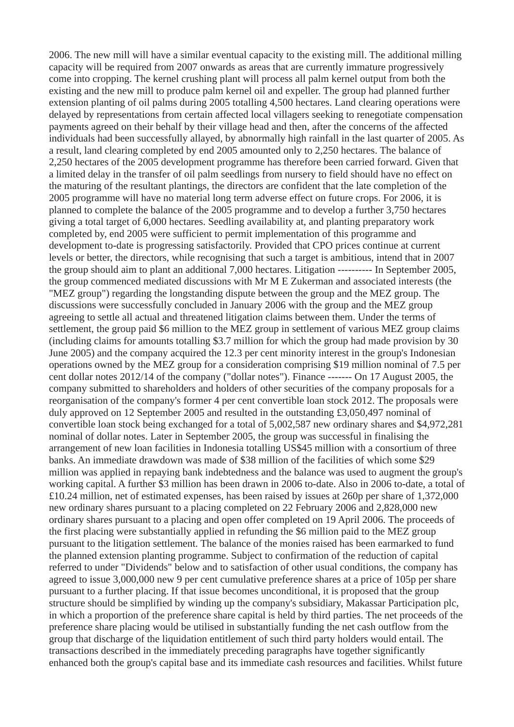2006. The new mill will have a similar eventual capacity to the existing mill. The additional milling capacity will be required from 2007 onwards as areas that are currently immature progressively come into cropping. The kernel crushing plant will process all palm kernel output from both the existing and the new mill to produce palm kernel oil and expeller. The group had planned further extension planting of oil palms during 2005 totalling 4,500 hectares. Land clearing operations were delayed by representations from certain affected local villagers seeking to renegotiate compensation payments agreed on their behalf by their village head and then, after the concerns of the affected individuals had been successfully allayed, by abnormally high rainfall in the last quarter of 2005. As a result, land clearing completed by end 2005 amounted only to 2,250 hectares. The balance of 2,250 hectares of the 2005 development programme has therefore been carried forward. Given that a limited delay in the transfer of oil palm seedlings from nursery to field should have no effect on the maturing of the resultant plantings, the directors are confident that the late completion of the 2005 programme will have no material long term adverse effect on future crops. For 2006, it is planned to complete the balance of the 2005 programme and to develop a further 3,750 hectares giving a total target of 6,000 hectares. Seedling availability at, and planting preparatory work completed by, end 2005 were sufficient to permit implementation of this programme and development to-date is progressing satisfactorily. Provided that CPO prices continue at current levels or better, the directors, while recognising that such a target is ambitious, intend that in 2007 the group should aim to plant an additional 7,000 hectares. Litigation ---------- In September 2005, the group commenced mediated discussions with Mr M E Zukerman and associated interests (the "MEZ group") regarding the longstanding dispute between the group and the MEZ group. The discussions were successfully concluded in January 2006 with the group and the MEZ group agreeing to settle all actual and threatened litigation claims between them. Under the terms of settlement, the group paid \$6 million to the MEZ group in settlement of various MEZ group claims (including claims for amounts totalling \$3.7 million for which the group had made provision by 30 June 2005) and the company acquired the 12.3 per cent minority interest in the group's Indonesian operations owned by the MEZ group for a consideration comprising \$19 million nominal of 7.5 per cent dollar notes 2012/14 of the company ("dollar notes"). Finance ------- On 17 August 2005, the company submitted to shareholders and holders of other securities of the company proposals for a reorganisation of the company's former 4 per cent convertible loan stock 2012. The proposals were duly approved on 12 September 2005 and resulted in the outstanding £3,050,497 nominal of convertible loan stock being exchanged for a total of 5,002,587 new ordinary shares and \$4,972,281 nominal of dollar notes. Later in September 2005, the group was successful in finalising the arrangement of new loan facilities in Indonesia totalling US\$45 million with a consortium of three banks. An immediate drawdown was made of \$38 million of the facilities of which some \$29 million was applied in repaying bank indebtedness and the balance was used to augment the group's working capital. A further \$3 million has been drawn in 2006 to-date. Also in 2006 to-date, a total of £10.24 million, net of estimated expenses, has been raised by issues at 260p per share of 1,372,000 new ordinary shares pursuant to a placing completed on 22 February 2006 and 2,828,000 new ordinary shares pursuant to a placing and open offer completed on 19 April 2006. The proceeds of the first placing were substantially applied in refunding the \$6 million paid to the MEZ group pursuant to the litigation settlement. The balance of the monies raised has been earmarked to fund the planned extension planting programme. Subject to confirmation of the reduction of capital referred to under "Dividends" below and to satisfaction of other usual conditions, the company has agreed to issue 3,000,000 new 9 per cent cumulative preference shares at a price of 105p per share pursuant to a further placing. If that issue becomes unconditional, it is proposed that the group structure should be simplified by winding up the company's subsidiary, Makassar Participation plc, in which a proportion of the preference share capital is held by third parties. The net proceeds of the preference share placing would be utilised in substantially funding the net cash outflow from the group that discharge of the liquidation entitlement of such third party holders would entail. The transactions described in the immediately preceding paragraphs have together significantly enhanced both the group's capital base and its immediate cash resources and facilities. Whilst future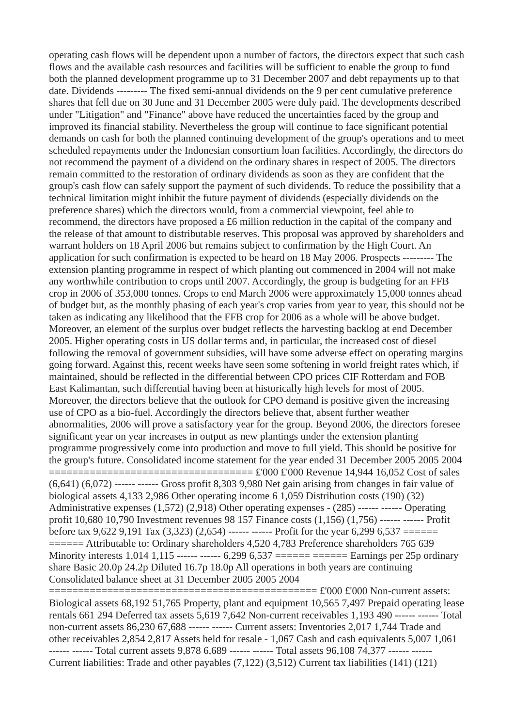operating cash flows will be dependent upon a number of factors, the directors expect that such cash flows and the available cash resources and facilities will be sufficient to enable the group to fund both the planned development programme up to 31 December 2007 and debt repayments up to that date. Dividends --------- The fixed semi-annual dividends on the 9 per cent cumulative preference shares that fell due on 30 June and 31 December 2005 were duly paid. The developments described under "Litigation" and "Finance" above have reduced the uncertainties faced by the group and improved its financial stability. Nevertheless the group will continue to face significant potential demands on cash for both the planned continuing development of the group's operations and to meet scheduled repayments under the Indonesian consortium loan facilities. Accordingly, the directors do not recommend the payment of a dividend on the ordinary shares in respect of 2005. The directors remain committed to the restoration of ordinary dividends as soon as they are confident that the group's cash flow can safely support the payment of such dividends. To reduce the possibility that a technical limitation might inhibit the future payment of dividends (especially dividends on the preference shares) which the directors would, from a commercial viewpoint, feel able to recommend, the directors have proposed a £6 million reduction in the capital of the company and the release of that amount to distributable reserves. This proposal was approved by shareholders and warrant holders on 18 April 2006 but remains subject to confirmation by the High Court. An application for such confirmation is expected to be heard on 18 May 2006. Prospects --------- The extension planting programme in respect of which planting out commenced in 2004 will not make any worthwhile contribution to crops until 2007. Accordingly, the group is budgeting for an FFB crop in 2006 of 353,000 tonnes. Crops to end March 2006 were approximately 15,000 tonnes ahead of budget but, as the monthly phasing of each year's crop varies from year to year, this should not be taken as indicating any likelihood that the FFB crop for 2006 as a whole will be above budget. Moreover, an element of the surplus over budget reflects the harvesting backlog at end December 2005. Higher operating costs in US dollar terms and, in particular, the increased cost of diesel following the removal of government subsidies, will have some adverse effect on operating margins going forward. Against this, recent weeks have seen some softening in world freight rates which, if maintained, should be reflected in the differential between CPO prices CIF Rotterdam and FOB East Kalimantan, such differential having been at historically high levels for most of 2005. Moreover, the directors believe that the outlook for CPO demand is positive given the increasing use of CPO as a bio-fuel. Accordingly the directors believe that, absent further weather abnormalities, 2006 will prove a satisfactory year for the group. Beyond 2006, the directors foresee significant year on year increases in output as new plantings under the extension planting programme progressively come into production and move to full yield. This should be positive for the group's future. Consolidated income statement for the year ended 31 December 2005 2005 2004 =================================== £'000 £'000 Revenue 14,944 16,052 Cost of sales  $(6,641)$  $(6,072)$  ------ ------ Gross profit 8,303 9,980 Net gain arising from changes in fair value of biological assets 4,133 2,986 Other operating income 6 1,059 Distribution costs (190) (32) Administrative expenses (1,572) (2,918) Other operating expenses - (285) ------ ------ Operating profit 10,680 10,790 Investment revenues 98 157 Finance costs (1,156) (1,756) ------ ------ Profit before tax 9,622 9,191 Tax (3,323) (2,654) ------ ------ Profit for the year 6,299 6,537 ====== ====== Attributable to: Ordinary shareholders 4,520 4,783 Preference shareholders 765 639 Minority interests 1,014 1,115 ------ ------ 6,299 6,537 ====== ====== Earnings per 25p ordinary share Basic 20.0p 24.2p Diluted 16.7p 18.0p All operations in both years are continuing Consolidated balance sheet at 31 December 2005 2005 2004

============================================== £'000 £'000 Non-current assets: Biological assets 68,192 51,765 Property, plant and equipment 10,565 7,497 Prepaid operating lease rentals 661 294 Deferred tax assets 5,619 7,642 Non-current receivables 1,193 490 ------ ------ Total non-current assets 86,230 67,688 ------ ------ Current assets: Inventories 2,017 1,744 Trade and other receivables 2,854 2,817 Assets held for resale - 1,067 Cash and cash equivalents 5,007 1,061 ------ ------ Total current assets 9,878 6,689 ------ ------ Total assets 96,108 74,377 ------ ------Current liabilities: Trade and other payables (7,122) (3,512) Current tax liabilities (141) (121)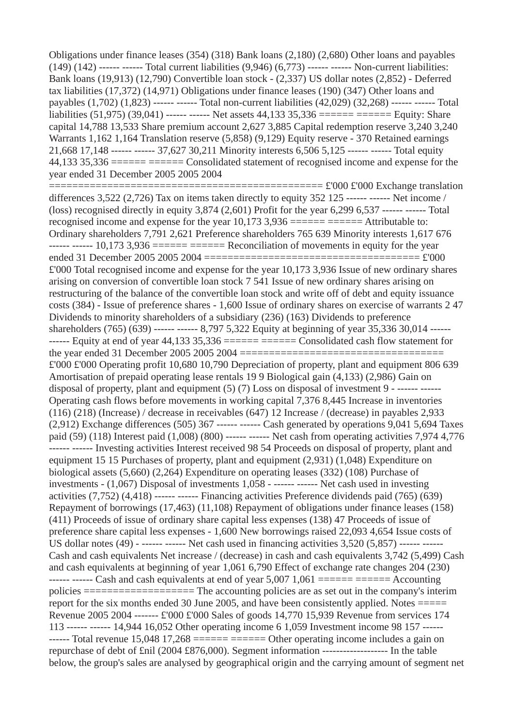Obligations under finance leases (354) (318) Bank loans (2,180) (2,680) Other loans and payables (149) (142) ------ ------ Total current liabilities (9,946) (6,773) ------ ------ Non-current liabilities: Bank loans (19,913) (12,790) Convertible loan stock - (2,337) US dollar notes (2,852) - Deferred tax liabilities (17,372) (14,971) Obligations under finance leases (190) (347) Other loans and payables (1,702) (1,823) ------ ------ Total non-current liabilities (42,029) (32,268) ------ ------ Total liabilities (51,975) (39,041) ------ ------ Net assets 44,133 35,336 ====== ====== Equity: Share capital 14,788 13,533 Share premium account 2,627 3,885 Capital redemption reserve 3,240 3,240 Warrants 1,162 1,164 Translation reserve (5,858) (9,129) Equity reserve - 370 Retained earnings 21,668 17,148 ------ ------ 37,627 30,211 Minority interests 6,506 5,125 ------ ------ Total equity 44,133 35,336 ====== ====== Consolidated statement of recognised income and expense for the year ended 31 December 2005 2005 2004 =============================================== £'000 £'000 Exchange translation differences 3,522 (2,726) Tax on items taken directly to equity 352 125 ------ ------ Net income / (loss) recognised directly in equity  $3,874$  (2,601) Profit for the year  $6,299$   $6,537$  ------ ------ Total recognised income and expense for the year  $10,173$  3,936 ====== ====== Attributable to: Ordinary shareholders 7,791 2,621 Preference shareholders 765 639 Minority interests 1,617 676  $---$ - $---$  10,173 3,936  $-- -- ---$  Reconciliation of movements in equity for the year ended 31 December 2005 2005 2004 ===================================== £'000 £'000 Total recognised income and expense for the year 10,173 3,936 Issue of new ordinary shares arising on conversion of convertible loan stock 7 541 Issue of new ordinary shares arising on

restructuring of the balance of the convertible loan stock and write off of debt and equity issuance costs (384) - Issue of preference shares - 1,600 Issue of ordinary shares on exercise of warrants 2 47 Dividends to minority shareholders of a subsidiary (236) (163) Dividends to preference shareholders (765) (639) ------ ------ 8,797 5,322 Equity at beginning of year 35,336 30,014 ------  $---$  Equity at end of year 44,133 35,336  $-- -- ---$  Consolidated cash flow statement for the year ended 31 December 2005 2005 2004 =================================== £'000 £'000 Operating profit 10,680 10,790 Depreciation of property, plant and equipment 806 639 Amortisation of prepaid operating lease rentals 19 9 Biological gain (4,133) (2,986) Gain on disposal of property, plant and equipment (5) (7) Loss on disposal of investment 9 - ------ ------Operating cash flows before movements in working capital 7,376 8,445 Increase in inventories (116) (218) (Increase) / decrease in receivables (647) 12 Increase / (decrease) in payables 2,933  $(2,912)$  Exchange differences  $(505)$  367 ------ ------ Cash generated by operations 9,041 5,694 Taxes paid (59) (118) Interest paid  $(1,008)$  (800) ------ ------ Net cash from operating activities 7,974 4,776 ------ ------ Investing activities Interest received 98 54 Proceeds on disposal of property, plant and equipment 15 15 Purchases of property, plant and equipment (2,931) (1,048) Expenditure on biological assets (5,660) (2,264) Expenditure on operating leases (332) (108) Purchase of investments - (1,067) Disposal of investments 1,058 - ------ ------ Net cash used in investing activities (7,752) (4,418) ------ ------ Financing activities Preference dividends paid (765) (639) Repayment of borrowings (17,463) (11,108) Repayment of obligations under finance leases (158) (411) Proceeds of issue of ordinary share capital less expenses (138) 47 Proceeds of issue of preference share capital less expenses - 1,600 New borrowings raised 22,093 4,654 Issue costs of US dollar notes  $(49)$  - ------ ------ Net cash used in financing activities 3,520  $(5,857)$  ------ ------Cash and cash equivalents Net increase / (decrease) in cash and cash equivalents 3,742 (5,499) Cash and cash equivalents at beginning of year 1,061 6,790 Effect of exchange rate changes 204 (230) ------ ------ Cash and cash equivalents at end of year  $5,007$   $1,061$  ====== ====== Accounting policies =================== The accounting policies are as set out in the company's interim report for the six months ended 30 June 2005, and have been consistently applied. Notes ===== Revenue 2005 2004 ------- £'000 £'000 Sales of goods 14,770 15,939 Revenue from services 174 113 ------ ------ 14,944 16,052 Other operating income 6 1,059 Investment income 98 157 ------  $---$  Total revenue 15,048 17,268  $-- -- ---$  Other operating income includes a gain on repurchase of debt of £nil (2004 £876,000). Segment information ------------------- In the table below, the group's sales are analysed by geographical origin and the carrying amount of segment net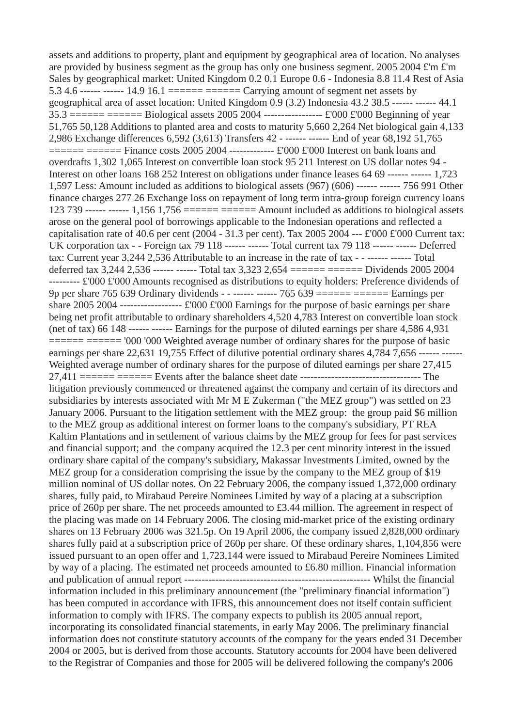assets and additions to property, plant and equipment by geographical area of location. No analyses are provided by business segment as the group has only one business segment. 2005 2004 £'m £'m Sales by geographical market: United Kingdom 0.2 0.1 Europe 0.6 - Indonesia 8.8 11.4 Rest of Asia 5.3 4.6 ------ ------ 14.9 16.1 ====== ====== Carrying amount of segment net assets by geographical area of asset location: United Kingdom 0.9 (3.2) Indonesia 43.2 38.5 ------ ------ 44.1 35.3 ====== ====== Biological assets 2005 2004 ----------------- £'000 £'000 Beginning of year 51,765 50,128 Additions to planted area and costs to maturity 5,660 2,264 Net biological gain 4,133 2,986 Exchange differences 6,592 (3,613) Transfers 42 - ------ ------ End of year 68,192 51,765  $=$  $=$  $=$  $=$  $=$  $=$  $=$  $=$  $=$  $=$  $$$  Finance costs 2005 2004 ------------- $\leq$  1000  $\leq$  1000 Interest on bank loans and$ overdrafts 1,302 1,065 Interest on convertible loan stock 95 211 Interest on US dollar notes 94 - Interest on other loans 168 252 Interest on obligations under finance leases 64 69 ------ ------ 1,723 1,597 Less: Amount included as additions to biological assets (967) (606) ------ ------ 756 991 Other finance charges 277 26 Exchange loss on repayment of long term intra-group foreign currency loans 123 739 ------ ------ 1,156 1,756 ====== ====== Amount included as additions to biological assets arose on the general pool of borrowings applicable to the Indonesian operations and reflected a capitalisation rate of 40.6 per cent (2004 - 31.3 per cent). Tax 2005 2004 --- £'000 £'000 Current tax: UK corporation tax - - Foreign tax 79 118 ------ ------ Total current tax 79 118 ------ ------ Deferred tax: Current year 3,244 2,536 Attributable to an increase in the rate of tax - - ------ ------ Total deferred tax 3,244 2,536 ------ ------ Total tax 3,323 2,654 ====== ====== Dividends 2005 2004 --------- £'000 £'000 Amounts recognised as distributions to equity holders: Preference dividends of 9p per share 765 639 Ordinary dividends - - ------ ------ 765 639 ====== ====== Earnings per share 2005 2004 ------------------ £'000 £'000 Earnings for the purpose of basic earnings per share being net profit attributable to ordinary shareholders 4,520 4,783 Interest on convertible loan stock (net of tax) 66 148 ------ ------ Earnings for the purpose of diluted earnings per share 4,586 4,931  $\equiv$  $\equiv$  $\equiv$  $\equiv$  $\equiv$  $\equiv$  $\equiv$  $\equiv$  $\equiv$  $\sim$  $\sim$  $\sim$ 000 Weighted average number of ordinary shares for the purpose of basic earnings per share 22,631 19,755 Effect of dilutive potential ordinary shares 4,784 7,656 ------ ------Weighted average number of ordinary shares for the purpose of diluted earnings per share 27,415 27,411 ====== ====== Events after the balance sheet date ----------------------------------- The litigation previously commenced or threatened against the company and certain of its directors and subsidiaries by interests associated with Mr M E Zukerman ("the MEZ group") was settled on 23 January 2006. Pursuant to the litigation settlement with the MEZ group: the group paid \$6 million to the MEZ group as additional interest on former loans to the company's subsidiary, PT REA Kaltim Plantations and in settlement of various claims by the MEZ group for fees for past services and financial support; and the company acquired the 12.3 per cent minority interest in the issued ordinary share capital of the company's subsidiary, Makassar Investments Limited, owned by the MEZ group for a consideration comprising the issue by the company to the MEZ group of \$19 million nominal of US dollar notes. On 22 February 2006, the company issued 1,372,000 ordinary shares, fully paid, to Mirabaud Pereire Nominees Limited by way of a placing at a subscription price of 260p per share. The net proceeds amounted to £3.44 million. The agreement in respect of the placing was made on 14 February 2006. The closing mid-market price of the existing ordinary shares on 13 February 2006 was 321.5p. On 19 April 2006, the company issued 2,828,000 ordinary shares fully paid at a subscription price of 260p per share. Of these ordinary shares, 1,104,856 were issued pursuant to an open offer and 1,723,144 were issued to Mirabaud Pereire Nominees Limited by way of a placing. The estimated net proceeds amounted to £6.80 million. Financial information and publication of annual report ------------------------------------------------------ Whilst the financial information included in this preliminary announcement (the "preliminary financial information") has been computed in accordance with IFRS, this announcement does not itself contain sufficient information to comply with IFRS. The company expects to publish its 2005 annual report, incorporating its consolidated financial statements, in early May 2006. The preliminary financial information does not constitute statutory accounts of the company for the years ended 31 December 2004 or 2005, but is derived from those accounts. Statutory accounts for 2004 have been delivered to the Registrar of Companies and those for 2005 will be delivered following the company's 2006